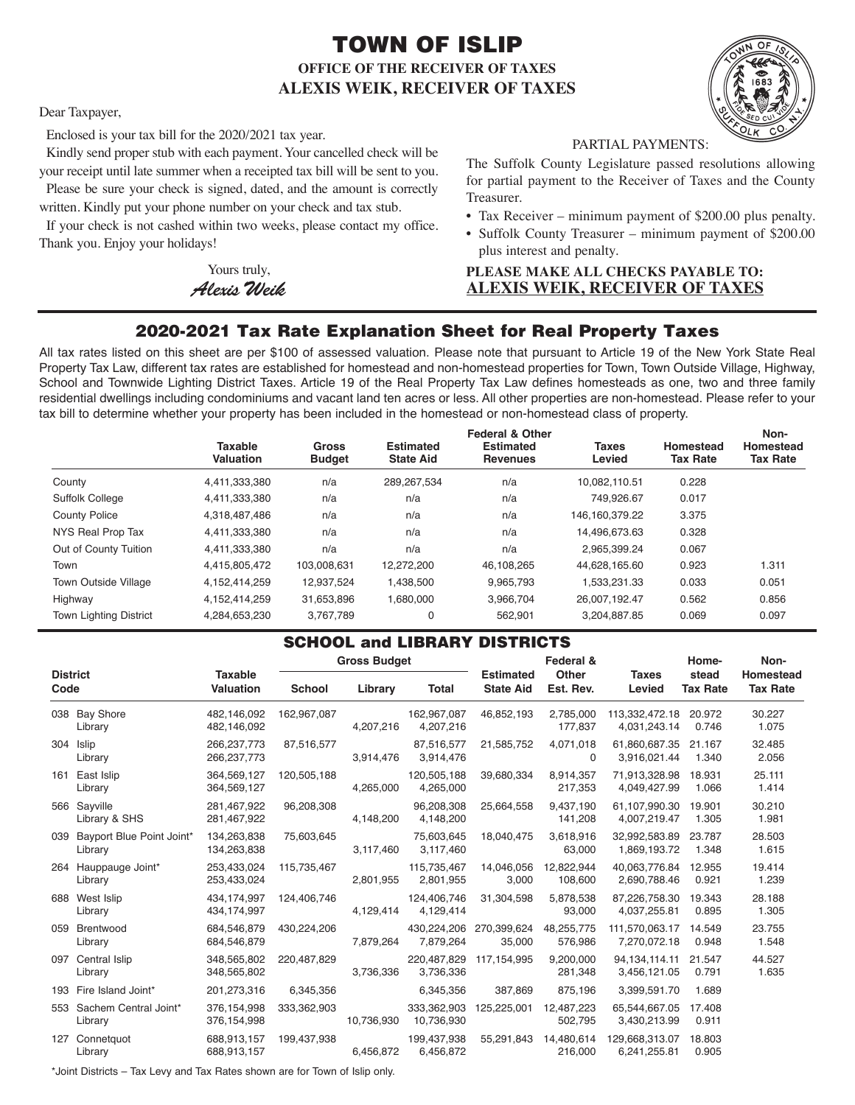# TOWN OF ISLIP **OFFICE OF THE RECEIVER OF TAXES ALEXIS WEIK, RECEIVER OF TAXES**



Dear Taxpayer,

Enclosed is your tax bill for the 2020/2021 tax year.

Kindly send proper stub with each payment. Your cancelled check will be your receipt until late summer when a receipted tax bill will be sent to you. Please be sure your check is signed, dated, and the amount is correctly

written. Kindly put your phone number on your check and tax stub.

If your check is not cashed within two weeks, please contact my office. Thank you. Enjoy your holidays!

> Yours truly, *AlexisWeik*

PARTIAL PAYMENTS:

The Suffolk County Legislature passed resolutions allowing for partial payment to the Receiver of Taxes and the County Treasurer.

- Tax Receiver minimum payment of \$200.00 plus penalty.
- Suffolk County Treasurer minimum payment of \$200.00 plus interest and penalty.

## **PLEASE MAKE ALL CHECKS PAYABLE TO: ALEXIS WEIK, RECEIVER OF TAXES**

## 2020-2021 Tax Rate Explanation Sheet for Real Property Taxes

All tax rates listed on this sheet are per \$100 of assessed valuation. Please note that pursuant to Article 19 of the New York State Real Property Tax Law, different tax rates are established for homestead and non-homestead properties for Town, Town Outside Village, Highway, School and Townwide Lighting District Taxes. Article 19 of the Real Property Tax Law defines homesteads as one, two and three family residential dwellings including condominiums and vacant land ten acres or less. All other properties are non-homestead. Please refer to your tax bill to determine whether your property has been included in the homestead or non-homestead class of property.

|                               | <b>Taxable</b><br>Valuation | <b>Gross</b><br><b>Budget</b> | <b>Estimated</b><br><b>State Aid</b> | <b>Federal &amp; Other</b><br><b>Estimated</b><br><b>Revenues</b> | <b>Taxes</b><br>Levied | Homestead<br><b>Tax Rate</b> | Non-<br>Homestead<br><b>Tax Rate</b> |
|-------------------------------|-----------------------------|-------------------------------|--------------------------------------|-------------------------------------------------------------------|------------------------|------------------------------|--------------------------------------|
| County                        | 4.411.333.380               | n/a                           | 289, 267, 534                        | n/a                                                               | 10.082.110.51          | 0.228                        |                                      |
| <b>Suffolk College</b>        | 4,411,333,380               | n/a                           | n/a                                  | n/a                                                               | 749.926.67             | 0.017                        |                                      |
| <b>County Police</b>          | 4,318,487,486               | n/a                           | n/a                                  | n/a                                                               | 146, 160, 379. 22      | 3.375                        |                                      |
| NYS Real Prop Tax             | 4,411,333,380               | n/a                           | n/a                                  | n/a                                                               | 14.496.673.63          | 0.328                        |                                      |
| Out of County Tuition         | 4,411,333,380               | n/a                           | n/a                                  | n/a                                                               | 2.965.399.24           | 0.067                        |                                      |
| Town                          | 4,415,805,472               | 103,008,631                   | 12,272,200                           | 46,108,265                                                        | 44,628,165.60          | 0.923                        | 1.311                                |
| Town Outside Village          | 4,152,414,259               | 12,937,524                    | 1,438,500                            | 9,965,793                                                         | 1,533,231.33           | 0.033                        | 0.051                                |
| Highway                       | 4,152,414,259               | 31,653,896                    | 1,680,000                            | 3,966,704                                                         | 26.007.192.47          | 0.562                        | 0.856                                |
| <b>Town Lighting District</b> | 4,284,653,230               | 3.767.789                     | 0                                    | 562.901                                                           | 3.204.887.85           | 0.069                        | 0.097                                |

### SCHOOL and LIBRARY DISTRICTS

| <b>District</b><br>Code |                                      |                                    | <b>Gross Budget</b> |            |                           | Federal &                            |                           | Home-                          | Non-                     |                              |
|-------------------------|--------------------------------------|------------------------------------|---------------------|------------|---------------------------|--------------------------------------|---------------------------|--------------------------------|--------------------------|------------------------------|
|                         |                                      | <b>Taxable</b><br><b>Valuation</b> | School              | Library    | <b>Total</b>              | <b>Estimated</b><br><b>State Aid</b> | <b>Other</b><br>Est. Rev. | <b>Taxes</b><br>Levied         | stead<br><b>Tax Rate</b> | Homestead<br><b>Tax Rate</b> |
|                         | 038 Bay Shore<br>Library             | 482,146,092<br>482,146,092         | 162,967,087         | 4,207,216  | 162,967,087<br>4,207,216  | 46,852,193                           | 2,785,000<br>177,837      | 113,332,472.18<br>4,031,243.14 | 20.972<br>0.746          | 30.227<br>1.075              |
|                         | 304 Islip<br>Library                 | 266, 237, 773<br>266, 237, 773     | 87,516,577          | 3,914,476  | 87,516,577<br>3,914,476   | 21,585,752                           | 4,071,018<br>$\Omega$     | 61,860,687.35<br>3,916,021.44  | 21.167<br>1.340          | 32.485<br>2.056              |
|                         | 161 East Islip<br>Library            | 364,569,127<br>364,569,127         | 120,505,188         | 4,265,000  | 120,505,188<br>4,265,000  | 39,680,334                           | 8,914,357<br>217,353      | 71,913,328.98<br>4,049,427.99  | 18.931<br>1.066          | 25.111<br>1.414              |
|                         | 566 Sayville<br>Library & SHS        | 281.467.922<br>281,467,922         | 96,208,308          | 4,148,200  | 96,208,308<br>4,148,200   | 25,664,558                           | 9,437,190<br>141,208      | 61.107.990.30<br>4,007,219.47  | 19.901<br>1.305          | 30.210<br>1.981              |
| 039                     | Bayport Blue Point Joint*<br>Library | 134,263,838<br>134,263,838         | 75,603,645          | 3,117,460  | 75,603,645<br>3,117,460   | 18,040,475                           | 3,618,916<br>63,000       | 32,992,583.89<br>1,869,193.72  | 23.787<br>1.348          | 28.503<br>1.615              |
|                         | 264 Hauppauge Joint*<br>Library      | 253,433,024<br>253,433,024         | 115,735,467         | 2,801,955  | 115,735,467<br>2,801,955  | 14,046,056<br>3,000                  | 12,822,944<br>108,600     | 40.063.776.84<br>2,690,788.46  | 12.955<br>0.921          | 19.414<br>1.239              |
|                         | 688 West Islip<br>Library            | 434,174,997<br>434,174,997         | 124,406,746         | 4,129,414  | 124,406,746<br>4,129,414  | 31,304,598                           | 5,878,538<br>93,000       | 87,226,758.30<br>4,037,255.81  | 19.343<br>0.895          | 28.188<br>1.305              |
|                         | 059 Brentwood<br>Library             | 684.546.879<br>684,546,879         | 430,224,206         | 7,879,264  | 430.224.206<br>7,879,264  | 270.399.624<br>35,000                | 48,255,775<br>576,986     | 111.570.063.17<br>7,270,072.18 | 14.549<br>0.948          | 23.755<br>1.548              |
|                         | 097 Central Islip<br>Library         | 348.565.802<br>348,565,802         | 220,487,829         | 3,736,336  | 220.487.829<br>3,736,336  | 117, 154, 995                        | 9.200.000<br>281,348      | 94.134.114.11<br>3,456,121.05  | 21.547<br>0.791          | 44.527<br>1.635              |
|                         | 193 Fire Island Joint*               | 201,273,316                        | 6,345,356           |            | 6,345,356                 | 387,869                              | 875,196                   | 3,399,591.70                   | 1.689                    |                              |
|                         | 553 Sachem Central Joint*<br>Library | 376,154,998<br>376,154,998         | 333,362,903         | 10,736,930 | 333,362,903<br>10,736,930 | 125,225,001                          | 12,487,223<br>502,795     | 65,544,667.05<br>3,430,213.99  | 17.408<br>0.911          |                              |
| 127                     | Connetguot<br>Library                | 688.913.157<br>688,913,157         | 199,437,938         | 6,456,872  | 199,437,938<br>6,456,872  | 55,291,843                           | 14,480,614<br>216,000     | 129,668,313.07<br>6,241,255.81 | 18.803<br>0.905          |                              |

\*Joint Districts – Tax Levy and Tax Rates shown are for Town of Islip only.